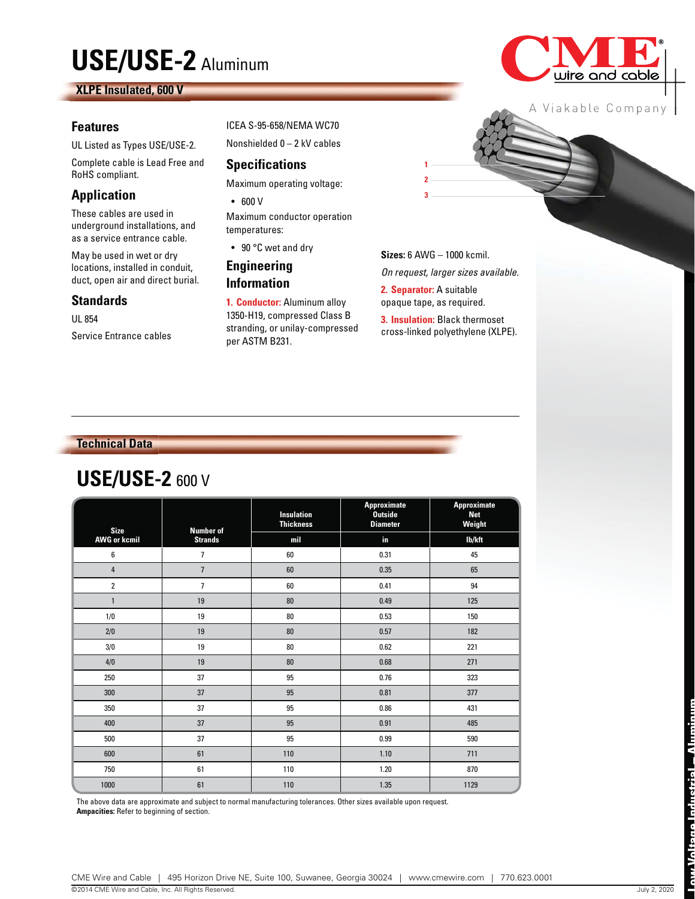# **USE/USE-2** Aluminum

# **XLPE Insulated, 600 V**

#### **Features**

UL Listed as Types USE/USE-2.

Complete cable is Lead Free and RoHS compliant.

# **Application**

These cables are used in underground installations, and as a service entrance cable.

May be used in wet or dry locations, installed in conduit, duct, open air and direct burial.

#### **Standards**

UL 854 Service Entrance cables

#### ICEA S-95-658/NEMA WC70

Nonshielded 0 – 2 kV cables

### **Specifications**

Maximum operating voltage:

• 600 V

Maximum conductor operation temperatures:

• 90 °C wet and dry

# **Engineering Information**

**1. Conductor:** Aluminum alloy 1350-H19, compressed Class B stranding, or unilay-compressed per ASTM B231.

**Sizes:** 6 AWG – 1000 kcmil. On request, larger sizes available.

**2. Separator:** A suitable opaque tape, as required.

**2 1**

**3**

**3. Insulation:** Black thermoset cross-linked polyethylene (XLPE).

## **Technical Data**

# **USE/USE-2** 600 V

| <b>Size</b>         | <b>Number of</b> | <b>Insulation</b><br><b>Thickness</b> | Approximate<br><b>Outside</b><br><b>Diameter</b> | Approximate<br><b>Net</b><br>Weight |
|---------------------|------------------|---------------------------------------|--------------------------------------------------|-------------------------------------|
| <b>AWG or kcmil</b> | <b>Strands</b>   | mil                                   | in                                               | lb/kft                              |
| 6                   | $\overline{7}$   | 60                                    | 0.31                                             | 45                                  |
| $\overline{4}$      | $\overline{7}$   | 60                                    | 0.35                                             | 65                                  |
| $\overline{2}$      | $\overline{7}$   | 60                                    | 0.41                                             | 94                                  |
| $\mathbf{1}$        | 19               | 80                                    | 0.49                                             | 125                                 |
| 1/0                 | 19               | 80                                    | 0.53                                             | 150                                 |
| 2/0                 | 19               | 80                                    | 0.57                                             | 182                                 |
| 3/0                 | 19               | 80                                    | 0.62                                             | 221                                 |
| 4/0                 | 19               | 80                                    | 0.68                                             | 271                                 |
| 250                 | 37               | 95                                    | 0.76                                             | 323                                 |
| 300                 | 37               | 95                                    | 0.81                                             | 377                                 |
| 350                 | 37               | 95                                    | 0.86                                             | 431                                 |
| 400                 | 37               | 95                                    | 0.91                                             | 485                                 |
| 500                 | 37               | 95                                    | 0.99                                             | 590                                 |
| 600                 | 61               | 110                                   | 1.10                                             | 711                                 |
| 750                 | 61               | 110                                   | 1.20                                             | 870                                 |
| 1000                | 61               | 110                                   | 1.35                                             | 1129                                |

The above data are approximate and subject to normal manufacturing tolerances. Other sizes available upon request.

**Ampacities:** Refer to beginning of section.